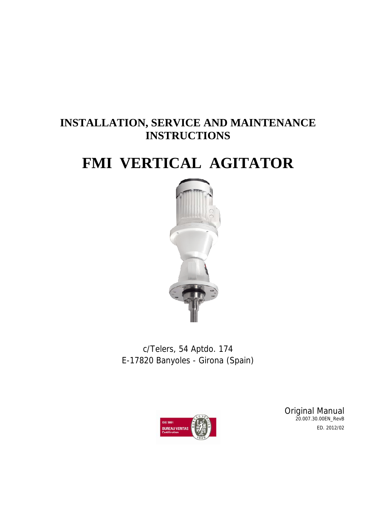### **INSTALLATION, SERVICE AND MAINTENANCE INSTRUCTIONS**

### **FMI VERTICAL AGITATOR**



c/Telers, 54 Aptdo. 174 E-17820 Banyoles - Girona (Spain)



Original Manual 20.007.30.00EN\_RevB ED. 2012/02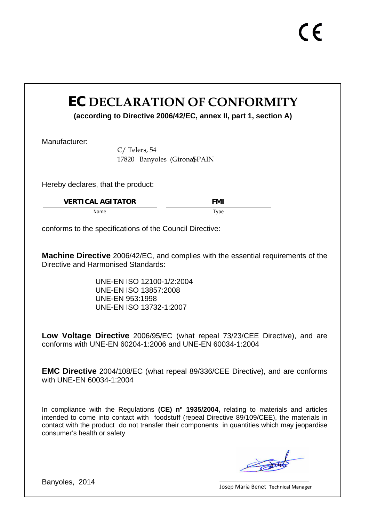### **EC DECLARATION OF CONFORMITY**

**(according to Directive 2006/42/EC, annex II, part 1, section A)** 

Manufacturer:

C/ Telers, 54 17820 Banyoles (Girona\$PAIN

Hereby declares, that the product:

**VERTICAL AGITATOR FMI** 

Name Type

conforms to the specifications of the Council Directive:

**Machine Directive** 2006/42/EC, and complies with the essential requirements of the Directive and Harmonised Standards:

> UNE-EN ISO 12100-1/2:2004 UNE-EN ISO 13857:2008 UNE-EN 953:1998 UNE-EN ISO 13732-1:2007

**Low Voltage Directive** 2006/95/EC (what repeal 73/23/CEE Directive), and are conforms with UNE-EN 60204-1:2006 and UNE-EN 60034-1:2004

**EMC Directive** 2004/108/EC (what repeal 89/336/CEE Directive), and are conforms with UNE-EN 60034-1:2004

In compliance with the Regulations **(CE) nº 1935/2004,** relating to materials and articles intended to come into contact with foodstuff (repeal Directive 89/109/CEE), the materials in contact with the product do not transfer their components in quantities which may jeopardise consumer's health or safety

Banyoles, 2014

\_\_\_\_\_\_\_\_\_\_\_\_\_\_\_\_\_\_\_\_\_\_\_\_\_\_\_\_\_ Josep Maria Benet Technical Manager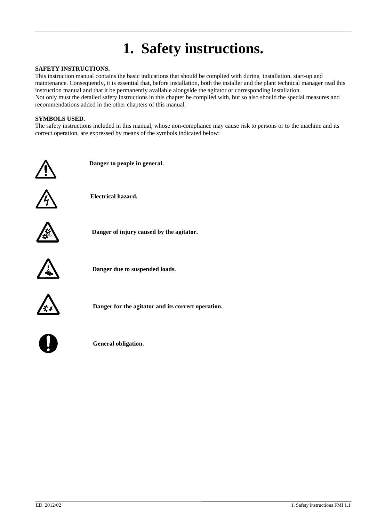# **1. Safety instructions.**

#### **SAFETY INSTRUCTIONS.**

This instruction manual contains the basic indications that should be complied with during installation, start-up and maintenance. Consequently, it is essential that, before installation, both the installer and the plant technical manager read this instruction manual and that it be permanently available alongside the agitator or corresponding installation. Not only must the detailed safety instructions in this chapter be complied with, but so also should the special measures and recommendations added in the other chapters of this manual.

### **SYMBOLS USED.**

The safety instructions included in this manual, whose non-compliance may cause risk to persons or to the machine and its correct operation, are expressed by means of the symbols indicated below:



 **Danger to people in general.** 



 **Electrical hazard.** 



 **Danger of injury caused by the agitator.** 



**Danger due to suspended loads.** 



**Danger for the agitator and its correct operation.** 



**General obligation.**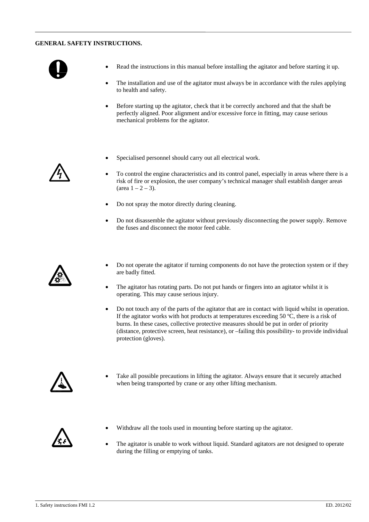#### **GENERAL SAFETY INSTRUCTIONS.**



- Read the instructions in this manual before installing the agitator and before starting it up.
- The installation and use of the agitator must always be in accordance with the rules applying to health and safety.
- Before starting up the agitator, check that it be correctly anchored and that the shaft be perfectly aligned. Poor alignment and/or excessive force in fitting, may cause serious mechanical problems for the agitator.
- Specialised personnel should carry out all electrical work.
- To control the engine characteristics and its control panel, especially in areas where there is a risk of fire or explosion, the user company's technical manager shall establish danger areas  $(\text{area } 1 - 2 - 3).$
- Do not spray the motor directly during cleaning.
- Do not disassemble the agitator without previously disconnecting the power supply. Remove the fuses and disconnect the motor feed cable.



- Do not operate the agitator if turning components do not have the protection system or if they are badly fitted.
- The agitator has rotating parts. Do not put hands or fingers into an agitator whilst it is operating. This may cause serious injury.
- Do not touch any of the parts of the agitator that are in contact with liquid whilst in operation. If the agitator works with hot products at temperatures exceeding 50 ºC, there is a risk of burns. In these cases, collective protective measures should be put in order of priority (distance, protective screen, heat resistance), or –failing this possibility- to provide individual protection (gloves).



• Take all possible precautions in lifting the agitator. Always ensure that it securely attached when being transported by crane or any other lifting mechanism.



- Withdraw all the tools used in mounting before starting up the agitator.
- The agitator is unable to work without liquid. Standard agitators are not designed to operate during the filling or emptying of tanks.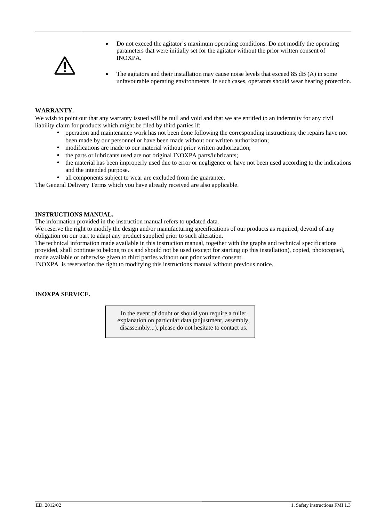

- Do not exceed the agitator's maximum operating conditions. Do not modify the operating parameters that were initially set for the agitator without the prior written consent of INOXPA.
- The agitators and their installation may cause noise levels that exceed 85 dB (A) in some unfavourable operating environments. In such cases, operators should wear hearing protection.

### **WARRANTY.**

We wish to point out that any warranty issued will be null and void and that we are entitled to an indemnity for any civil liability claim for products which might be filed by third parties if:

- y operation and maintenance work has not been done following the corresponding instructions; the repairs have not been made by our personnel or have been made without our written authorization;
- modifications are made to our material without prior written authorization:
- the parts or lubricants used are not original INOXPA parts/lubricants;
- the material has been improperly used due to error or negligence or have not been used according to the indications and the intended purpose.
- all components subject to wear are excluded from the guarantee.

The General Delivery Terms which you have already received are also applicable.

### **INSTRUCTIONS MANUAL.**

The information provided in the instruction manual refers to updated data.

We reserve the right to modify the design and/or manufacturing specifications of our products as required, devoid of any obligation on our part to adapt any product supplied prior to such alteration.

The technical information made available in this instruction manual, together with the graphs and technical specifications provided, shall continue to belong to us and should not be used (except for starting up this installation), copied, photocopied, made available or otherwise given to third parties without our prior written consent.

INOXPA is reservation the right to modifying this instructions manual without previous notice.

### **INOXPA SERVICE.**

In the event of doubt or should you require a fuller explanation on particular data (adjustment, assembly, disassembly...), please do not hesitate to contact us.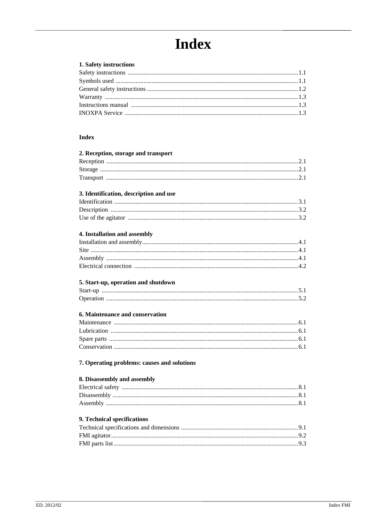# **Index**

### 1. Safety instructions

#### **Index**

| 2. Reception, storage and transport         |
|---------------------------------------------|
|                                             |
|                                             |
|                                             |
|                                             |
| 3. Identification, description and use      |
|                                             |
|                                             |
|                                             |
| 4. Installation and assembly                |
|                                             |
|                                             |
|                                             |
|                                             |
|                                             |
| 5. Start-up, operation and shutdown         |
|                                             |
|                                             |
| <b>6. Maintenance and conservation</b>      |
|                                             |
|                                             |
|                                             |
|                                             |
| 7. Operating problems: causes and solutions |
| 8. Disassembly and assembly                 |
|                                             |
|                                             |
|                                             |
|                                             |
| 9. Technical specifications                 |
|                                             |
|                                             |
|                                             |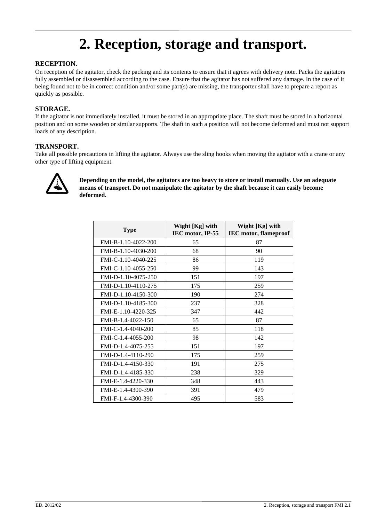### **2. Reception, storage and transport.**

### **RECEPTION.**

On reception of the agitator, check the packing and its contents to ensure that it agrees with delivery note. Packs the agitators fully assembled or disassembled according to the case. Ensure that the agitator has not suffered any damage. In the case of it being found not to be in correct condition and/or some part(s) are missing, the transporter shall have to prepare a report as quickly as possible.

### **STORAGE.**

If the agitator is not immediately installed, it must be stored in an appropriate place. The shaft must be stored in a horizontal position and on some wooden or similar supports. The shaft in such a position will not become deformed and must not support loads of any description.

### **TRANSPORT.**

Take all possible precautions in lifting the agitator. Always use the sling hooks when moving the agitator with a crane or any other type of lifting equipment.



**Depending on the model, the agitators are too heavy to store or install manually. Use an adequate means of transport. Do not manipulate the agitator by the shaft because it can easily become deformed.**

| <b>Type</b>         | Wight [Kg] with<br>IEC motor, IP-55 | Wight [Kg] with<br><b>IEC</b> motor, flameproof |  |  |  |
|---------------------|-------------------------------------|-------------------------------------------------|--|--|--|
| FMI-B-1.10-4022-200 | 65                                  | 87                                              |  |  |  |
| FMI-B-1.10-4030-200 | 68                                  | 90                                              |  |  |  |
| FMI-C-1.10-4040-225 | 86                                  | 119                                             |  |  |  |
| FMI-C-1.10-4055-250 | 99                                  | 143                                             |  |  |  |
| FMI-D-1.10-4075-250 | 151                                 | 197                                             |  |  |  |
| FMI-D-1.10-4110-275 | 175                                 | 259                                             |  |  |  |
| FMI-D-1.10-4150-300 | 190                                 | 274                                             |  |  |  |
| FMI-D-1.10-4185-300 | 237                                 | 328                                             |  |  |  |
| FMI-E-1.10-4220-325 | 347                                 | 442                                             |  |  |  |
| FMI-B-1.4-4022-150  | 65                                  | 87                                              |  |  |  |
| FMI-C-1.4-4040-200  | 85                                  | 118                                             |  |  |  |
| FMI-C-1.4-4055-200  | 98                                  | 142                                             |  |  |  |
| FMI-D-1.4-4075-255  | 151                                 | 197                                             |  |  |  |
| FMI-D-1.4-4110-290  | 175                                 | 259                                             |  |  |  |
| FMI-D-1.4-4150-330  | 191                                 | 275                                             |  |  |  |
| FMI-D-1.4-4185-330  | 238                                 | 329                                             |  |  |  |
| FMI-E-1.4-4220-330  | 348                                 | 443                                             |  |  |  |
| FMI-E-1.4-4300-390  | 391                                 | 479                                             |  |  |  |
| FMI-F-1.4-4300-390  | 495                                 | 583                                             |  |  |  |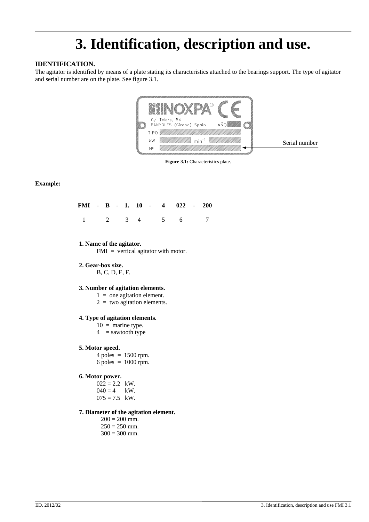# **3. Identification, description and use.**

### **IDENTIFICATION.**

The agitator is identified by means of a plate stating its characteristics attached to the bearings support. The type of agitator and serial number are on the plate. See figure 3.1.



**Figure 3.1:** Characteristics plate.

### **Example:**

|  |  |  |  | FMI - B - 1. 10 - 4 022 - 200 |  |
|--|--|--|--|-------------------------------|--|
|  |  |  |  | $1 \t2 \t3 \t4 \t5 \t6 \t7$   |  |

### **1. Name of the agitator.**

FMI = vertical agitator with motor.

**2. Gear-box size.**

B, C, D, E, F.

### **3. Number of agitation elements.**

- $1 =$  one agitation element.
- $2 =$  two agitation elements.

#### **4. Type of agitation elements.**

- $10 =$  marine type.
- $4 =$  sawtooth type

#### **5. Motor speed.**

 $4$  poles = 1500 rpm. 6 poles = 1000 rpm.

### **6. Motor power.**

 $022 = 2.2$  kW.  $040 = 4$  kW.  $075 = 7.5$  kW.

### **7. Diameter of the agitation element.**

- $200 = 200$  mm.  $250 = 250$  mm.
- $300 = 300$  mm.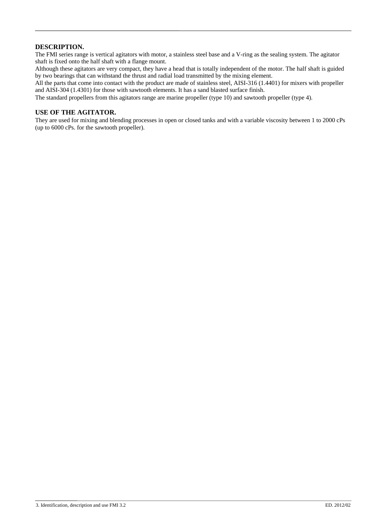### **DESCRIPTION.**

The FMI series range is vertical agitators with motor, a stainless steel base and a V-ring as the sealing system. The agitator shaft is fixed onto the half shaft with a flange mount.

Although these agitators are very compact, they have a head that is totally independent of the motor. The half shaft is guided by two bearings that can withstand the thrust and radial load transmitted by the mixing element.

All the parts that come into contact with the product are made of stainless steel, AISI-316 (1.4401) for mixers with propeller and AISI-304 (1.4301) for those with sawtooth elements. It has a sand blasted surface finish.

The standard propellers from this agitators range are marine propeller (type 10) and sawtooth propeller (type 4).

### **USE OF THE AGITATOR.**

They are used for mixing and blending processes in open or closed tanks and with a variable viscosity between 1 to 2000 cPs (up to 6000 cPs. for the sawtooth propeller).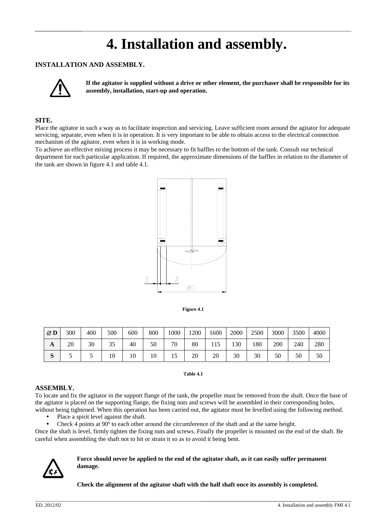### **4. Installation and assembly.**

### **INSTALLATION AND ASSEMBLY.**



**If the agitator is supplied without a drive or other element, the purchaser shall be responsible for its assembly, installation, start-up and operation.** 

### **SITE.**

Place the agitator in such a way as to facilitate inspection and servicing. Leave sufficient room around the agitator for adequate servicing, separate, even when it is in operation. It is very important to be able to obtain access to the electrical connection mechanism of the agitator, even when it is in working mode.

To achieve an effective mixing process it may be necessary to fit baffles to the bottom of the tank. Consult our technical department for each particular application. If required, the approximate dimensions of the baffles in relation to the diameter of the tank are shown in figure 4.1 and table 4.1.



**Figure 4.1**

| ØD               | 300 | 400 | 500 | 600 | 800 | 1000 | 1200 | 1600  | 2000 | 2500 | 3000 | 3500 | 4000 |
|------------------|-----|-----|-----|-----|-----|------|------|-------|------|------|------|------|------|
| A                | 20  | 30  | 35  | 40  | 50  | 70   | 80   | 1 I J | 130  | 180  | 200  | 240  | 280  |
| $\mathbf C$<br>P |     |     | 10  | 10  | 10  | 15   | 20   | 20    | 30   | 30   | 50   | 50   | 50   |

**Table 4.1** 

#### **ASSEMBLY.**

To locate and fix the agitator in the support flange of the tank, the propeller must be removed from the shaft. Once the base of the agitator is placed on the supporting flange, the fixing nuts and screws will be assembled in their corresponding holes, without being tightened. When this operation has been carried out, the agitator must be levelled using the following method.

- Place a spirit level against the shaft.
- Check 4 points at 90<sup>°</sup> to each other around the circumference of the shaft and at the same height.

Once the shaft is level, firmly tighten the fixing nuts and screws. Finally the propeller is mounted on the end of the shaft. Be careful when assembling the shaft not to hit or strain it so as to avoid it being bent.



#### **Force should never be applied to the end of the agitator shaft, as it can easily suffer permanent damage.**

**Check the alignment of the agitator shaft with the half shaft once its assembly is completed.**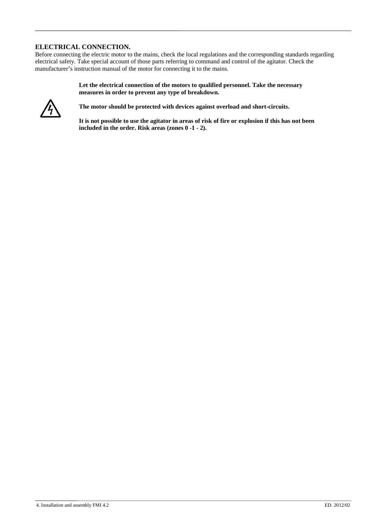### **ELECTRICAL CONNECTION.**

Before connecting the electric motor to the mains, check the local regulations and the corresponding standards regarding electrical safety. Take special account of those parts referring to command and control of the agitator. Check the manufacturer's instruction manual of the motor for connecting it to the mains.

> **Let the electrical connection of the motors to qualified personnel. Take the necessary measures in order to prevent any type of breakdown.**



**The motor should be protected with devices against overload and short-circuits.** 

**It is not possible to use the agitator in areas of risk of fire or explosion if this has not been included in the order. Risk areas (zones 0 -1 - 2).**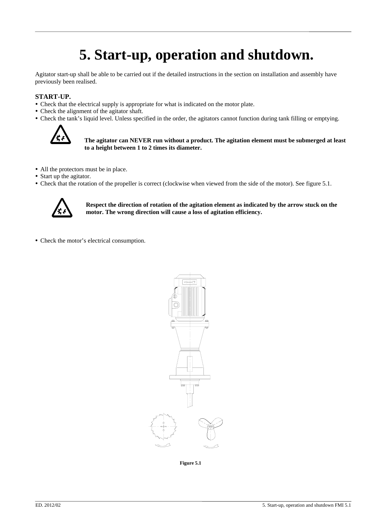### **5. Start-up, operation and shutdown.**

Agitator start-up shall be able to be carried out if the detailed instructions in the section on installation and assembly have previously been realised.

### **START-UP.**

- Check that the electrical supply is appropriate for what is indicated on the motor plate.
- Check the alignment of the agitator shaft.
- Check the tank's liquid level. Unless specified in the order, the agitators cannot function during tank filling or emptying.



#### **The agitator can NEVER run without a product. The agitation element must be submerged at least to a height between 1 to 2 times its diameter.**

- All the protectors must be in place.
- Start up the agitator.
- Check that the rotation of the propeller is correct (clockwise when viewed from the side of the motor). See figure 5.1.



**Respect the direction of rotation of the agitation element as indicated by the arrow stuck on the motor. The wrong direction will cause a loss of agitation efficiency.** 

• Check the motor's electrical consumption.



**Figure 5.1**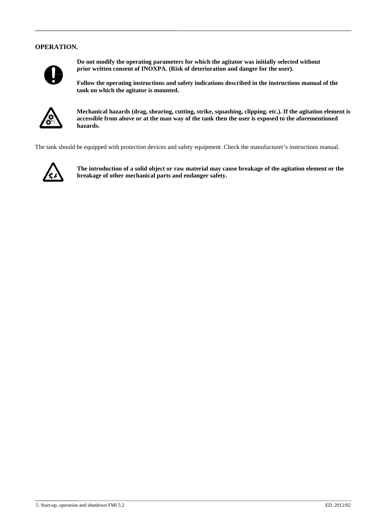### **OPERATION.**



**Do not modify the operating parameters for which the agitator was initially selected without prior written consent of INOXPA. (Risk of deterioration and danger for the user).** 

**Follow the operating instructions and safety indications described in the instructions manual of the tank on which the agitator is mounted.** 



**Mechanical hazards (drag, shearing, cutting, strike, squashing, clipping. etc.). If the agitation element is accessible from above or at the man way of the tank then the user is exposed to the aforementioned hazards.** 

The tank should be equipped with protection devices and safety equipment. Check the manufacturer's instructions manual.



**The introduction of a solid object or raw material may cause breakage of the agitation element or the breakage of other mechanical parts and endanger safety.**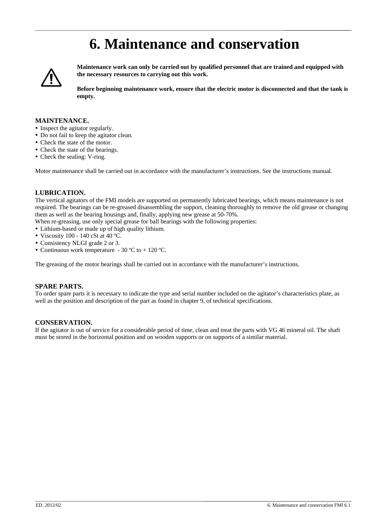### **6. Maintenance and conservation**



**Maintenance work can only be carried out by qualified personnel that are trained and equipped with the necessary resources to carrying out this work.** 

**Before beginning maintenance work, ensure that the electric motor is disconnected and that the tank is empty.** 

### **MAINTENANCE.**

- Inspect the agitator regularly.
- Do not fail to keep the agitator clean.
- Check the state of the motor.
- Check the state of the bearings.
- Check the sealing: V-ring.

Motor maintenance shall be carried out in accordance with the manufacturer's instructions. See the instructions manual.

#### **LUBRICATION.**

The vertical agitators of the FMI models are supported on permanently lubricated bearings, which means maintenance is not required. The bearings can be re-greased disassembling the support, cleaning thoroughly to remove the old grease or changing them as well as the bearing housings and, finally, applying new grease at 50-70%.

When re-greasing, use only special grease for ball bearings with the following properties:

- Lithium-based or made up of high quality lithium.
- Viscosity 100 140 cSt at 40 °C.
- Consistency NLGI grade 2 or 3.
- Continuous work temperature 30 °C to + 120 °C.

The greasing of the motor bearings shall be carried out in accordance with the manufacturer's instructions.

#### **SPARE PARTS.**

To order spare parts it is necessary to indicate the type and serial number included on the agitator's characteristics plate, as well as the position and description of the part as found in chapter 9, of technical specifications.

#### **CONSERVATION.**

If the agitator is out of service for a considerable period of time, clean and treat the parts with VG 46 mineral oil. The shaft must be stored in the horizontal position and on wooden supports or on supports of a similar material.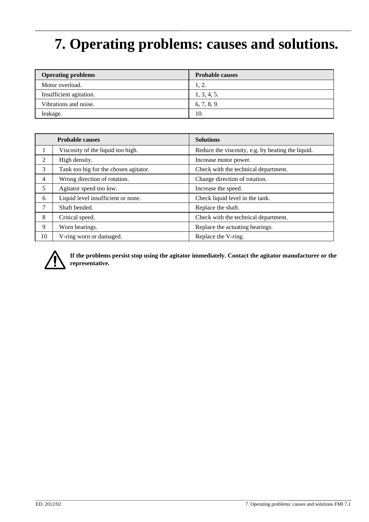# **7. Operating problems: causes and solutions.**

| <b>Operating problems</b> | <b>Probable causes</b> |
|---------------------------|------------------------|
| Motor overload.           | 1, 2.                  |
| Insufficient agitation.   | 1, 3, 4, 5.            |
| Vibrations and noise.     | 6, 7, 8, 9.            |
| leakage.                  | 10.                    |

|                | <b>Probable causes</b>                | <b>Solutions</b>                                  |
|----------------|---------------------------------------|---------------------------------------------------|
|                | Viscosity of the liquid too high.     | Reduce the viscosity, e.g. by heating the liquid. |
| 2              | High density.                         | Increase motor power.                             |
| 3              | Tank too big for the chosen agitator. | Check with the technical department.              |
| $\overline{4}$ | Wrong direction of rotation.          | Change direction of rotation.                     |
| 5              | Agitator speed too low.               | Increase the speed.                               |
| 6              | Liquid level insufficient or none.    | Check liquid level in the tank.                   |
| 7              | Shaft bended.                         | Replace the shaft.                                |
| 8              | Critical speed.                       | Check with the technical department.              |
| 9              | Worn bearings.                        | Replace the actuating bearings.                   |
| 10             | V-ring worn or damaged.               | Replace the V-ring.                               |



**If the problems persist stop using the agitator immediately. Contact the agitator manufacturer or the representative.**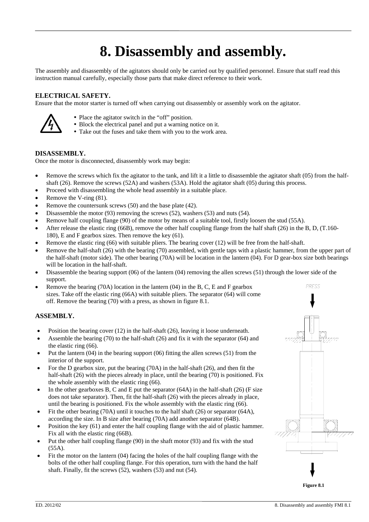# **8. Disassembly and assembly.**

The assembly and disassembly of the agitators should only be carried out by qualified personnel. Ensure that staff read this instruction manual carefully, especially those parts that make direct reference to their work.

### **ELECTRICAL SAFETY.**

Ensure that the motor starter is turned off when carrying out disassembly or assembly work on the agitator.



- Place the agitator switch in the "off" position.
- Block the electrical panel and put a warning notice on it.
- Take out the fuses and take them with you to the work area.

### **DISASSEMBLY.**

Once the motor is disconnected, disassembly work may begin:

- Remove the screws which fix the agitator to the tank, and lift it a little to disassemble the agitator shaft (05) from the halfshaft (26). Remove the screws (52A) and washers (53A). Hold the agitator shaft (05) during this process.
- Proceed with disassembling the whole head assembly in a suitable place.
- Remove the V-ring  $(81)$ .
- Remove the countersunk screws (50) and the base plate (42).
- Disassemble the motor (93) removing the screws (52), washers (53) and nuts (54).
- Remove half coupling flange (90) of the motor by means of a suitable tool, firstly loosen the stud (55A).
- After release the elastic ring (66B), remove the other half coupling flange from the half shaft (26) in the B, D, (T.160- 180), E and F gearbox sizes. Then remove the key (61).
- Remove the elastic ring (66) with suitable pliers. The bearing cover (12) will be free from the half-shaft.
- Remove the half-shaft (26) with the bearing (70) assembled, with gentle taps with a plastic hammer, from the upper part of the half-shaft (motor side). The other bearing (70A) will be location in the lantern (04). For D gear-box size both bearings will be location in the half-shaft.
- Disassemble the bearing support  $(06)$  of the lantern  $(04)$  removing the allen screws (51) through the lower side of the support.
- Remove the bearing (70A) location in the lantern (04) in the B, C, E and F gearbox sizes. Take off the elastic ring (66A) with suitable pliers. The separator (64) will come off. Remove the bearing (70) with a press, as shown in figure 8.1.

### **ASSEMBLY.**

- Position the bearing cover  $(12)$  in the half-shaft  $(26)$ , leaving it loose underneath.
- Assemble the bearing (70) to the half-shaft (26) and fix it with the separator (64) and the elastic ring (66).
- Put the lantern  $(04)$  in the bearing support  $(06)$  fitting the allen screws  $(51)$  from the interior of the support.
- For the D gearbox size, put the bearing (70A) in the half-shaft (26), and then fit the half-shaft (26) with the pieces already in place, until the bearing (70) is positioned. Fix the whole assembly with the elastic ring (66).
- In the other gearboxes B, C and E put the separator  $(64A)$  in the half-shaft (26) (F size does not take separator). Then, fit the half-shaft (26) with the pieces already in place, until the bearing is positioned. Fix the whole assembly with the elastic ring (66).
- Fit the other bearing (70A) until it touches to the half shaft (26) or separator (64A), according the size. In B size after bearing (70A) add another separator (64B).
- Position the key (61) and enter the half coupling flange with the aid of plastic hammer. Fix all with the elastic ring (66B).
- Put the other half coupling flange (90) in the shaft motor (93) and fix with the stud (55A).
- Fit the motor on the lantern (04) facing the holes of the half coupling flange with the bolts of the other half coupling flange. For this operation, turn with the hand the half shaft. Finally, fit the screws (52), washers (53) and nut (54).

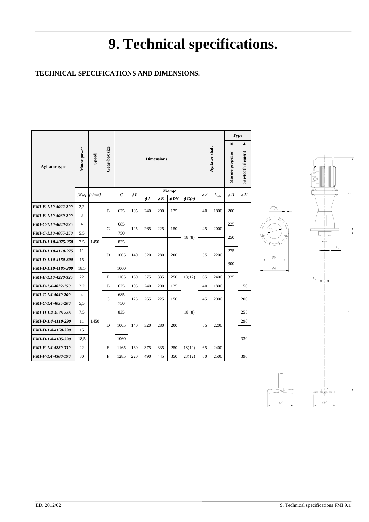# **9. Technical specifications.**

### **TECHNICAL SPECIFICATIONS AND DIMENSIONS.**

|                           |                |                  |               |                   |          |          |          |           |             |          | <b>Type</b>    |          |                         |  |
|---------------------------|----------------|------------------|---------------|-------------------|----------|----------|----------|-----------|-------------|----------|----------------|----------|-------------------------|--|
|                           |                |                  |               |                   |          |          |          |           |             |          |                | 10       | $\overline{\mathbf{4}}$ |  |
| <b>Agitator</b> type      | Motor power    | Speed            | Gear-box size | <b>Dimensions</b> |          |          |          |           |             |          | Agitator shaft |          | Sawtooth element        |  |
|                           |                | $Kw$ ] $[r/min]$ |               | C                 | $\phi E$ |          |          | Flange    |             | $\phi$ d |                |          |                         |  |
|                           |                |                  |               |                   |          | $\phi$ A | $\phi B$ | $\phi$ DN | $\phi G(n)$ |          | $L_{max}$      | $\phi H$ | $\phi H$                |  |
| FMI-B-1.10-4022-200       | 2,2            |                  | B             | 625               | 105      | 240      | 200      | 125       |             | 40       | 1800           | 200      |                         |  |
| FMI-B-1.10-4030-200       | 3              |                  |               |                   |          |          |          |           |             |          |                |          |                         |  |
| FMI-C-1.10-4040-225       | 4              |                  | $\mathbf C$   | 685               |          |          |          |           | 18(8)       | 45       | 2000           | 225      |                         |  |
| FMI-C-1.10-4055-250       | 5,5            | 1450             |               | 750               | 125      | 265      | 225      | 150       |             |          |                |          |                         |  |
| FMI-D-1.10-4075-250       | 7,5            |                  |               | 835               | 140      | 320      | 280      | 200       |             |          | 2200           | 250      |                         |  |
| FMI-D-1.10-4110-275       | 11             |                  | D             | 1005              |          |          |          |           |             | 55       |                | 275      |                         |  |
| FMI-D-1.10-4150-300       | 15             |                  |               |                   |          |          |          |           |             |          |                | 300      |                         |  |
| FMI-D-1.10-4185-300       | 18,5           |                  |               | 1060              |          |          |          |           |             |          |                |          |                         |  |
| FMI-E-1.10-4220-325       | 22             |                  | E             | 1165              | 160      | 375      | 335      | 250       | 18(12)      | 65       | 2400           | 325      |                         |  |
| FMI-B-1.4-4022-150        | 2,2            |                  | B             | 625               | 105      | 240      | 200      | 125       |             | 40       | 1800           |          | 150                     |  |
| FMI-C-1.4-4040-200        | $\overline{4}$ |                  | C             | 685               | 125      | 265      | 225      | 150       |             | 45       | 2000           |          | 200                     |  |
| FMI-C-1.4-4055-200        | 5,5            |                  |               | 750               |          |          |          |           |             |          |                |          |                         |  |
| FMI-D-1.4-4075-255        | 7,5            | 1450             |               | 835               |          |          |          |           | 18(8)       |          |                |          | 255                     |  |
| FMI-D-1.4-4110-290        | 11             |                  | D             | 1005              | 140      | 320      | 280      | 200       |             | 55       | 2200           |          | 290                     |  |
| FMI-D-1.4-4150-330        | 15             |                  |               |                   |          |          |          |           |             |          |                |          |                         |  |
| FMI-D-1.4-4185-330        | 18,5           |                  |               | 1060              |          |          |          |           |             |          |                |          | 330                     |  |
| FMI-E-1.4-4220-330        | 22             |                  | E             | 1165              | 160      | 375      | 335      | 250       | 18(12)      | 65       | 2400           |          |                         |  |
| <b>FMI-F-1.4-4300-190</b> | 30             |                  | F             | 1285              | 220      | 490      | 445      | 350       | 23(12)      | 80       | 2500           |          | 390                     |  |



øG(n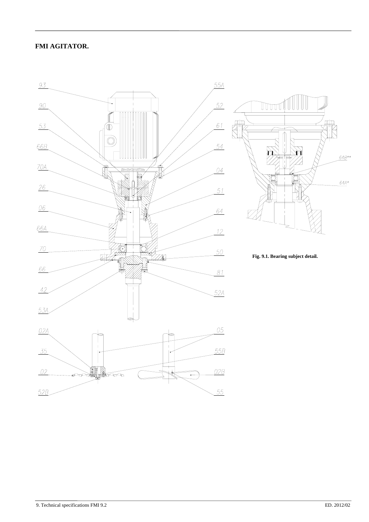### **FMI AGITATOR.**





**Fig. 9.1. Bearing subject detail.**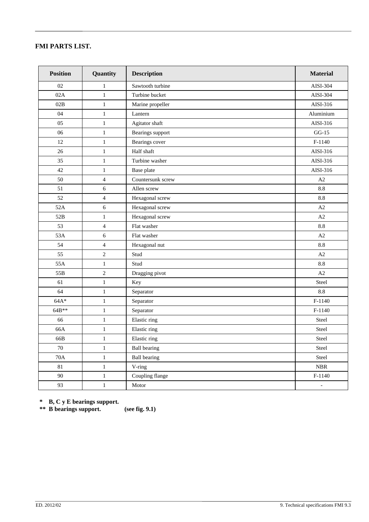### **FMI PARTS LIST.**

| <b>Position</b> | Quantity       | <b>Description</b>  | <b>Material</b>          |  |  |  |
|-----------------|----------------|---------------------|--------------------------|--|--|--|
| 02              | 1              | Sawtooth turbine    | AISI-304                 |  |  |  |
| 02A             | $\,1$          | Turbine bucket      | AISI-304                 |  |  |  |
| 02B             | $\mathbf{1}$   | Marine propeller    | AISI-316                 |  |  |  |
| 04              | $\,1$          | Lantern             | Aluminium                |  |  |  |
| 05              | $\mathbf{1}$   | Agitator shaft      | AISI-316                 |  |  |  |
| 06              | $\mathbf{1}$   | Bearings support    | $GG-15$                  |  |  |  |
| 12              | $\mathbf{1}$   | Bearings cover      | $F-1140$                 |  |  |  |
| 26              | $\mathbf{1}$   | Half shaft          | AISI-316                 |  |  |  |
| 35              | $\mathbf{1}$   | Turbine washer      | AISI-316                 |  |  |  |
| 42              | 1              | Base plate          | AISI-316                 |  |  |  |
| 50              | $\overline{4}$ | Countersunk screw   | A2                       |  |  |  |
| 51              | 6              | Allen screw         | 8.8                      |  |  |  |
| 52              | $\overline{4}$ | Hexagonal screw     | 8.8                      |  |  |  |
| 52A             | $6\,$          | Hexagonal screw     | $\rm A2$                 |  |  |  |
| 52B             | $\mathbf{1}$   | Hexagonal screw     | A2                       |  |  |  |
| 53              | $\overline{4}$ | Flat washer         | 8.8                      |  |  |  |
| 53A             | 6              | Flat washer         | A2                       |  |  |  |
| 54              | $\overline{4}$ | Hexagonal nut       | 8.8                      |  |  |  |
| 55              | $\overline{2}$ | Stud                | A2                       |  |  |  |
| 55A             | $\mathbf{1}$   | Stud                | 8.8                      |  |  |  |
| 55B             | $\overline{2}$ | Dragging pivot      | A2                       |  |  |  |
| 61              | $\mathbf{1}$   | Key                 | Steel                    |  |  |  |
| 64              | $\mathbf{1}$   | Separator           | 8.8                      |  |  |  |
| $64A*$          | $\mathbf{1}$   | Separator           | $F-1140$                 |  |  |  |
| 64B**           | $\mathbf{1}$   | Separator           | $F-1140$                 |  |  |  |
| 66              | $\mathbf{1}$   | Elastic ring        | Steel                    |  |  |  |
| 66A             | $\mathbf{1}$   | Elastic ring        | Steel                    |  |  |  |
| 66B             | $\mathbf{1}$   | Elastic ring        | Steel                    |  |  |  |
| $70\,$          | $\,1$          | <b>Ball bearing</b> | Steel                    |  |  |  |
| $70A$           | $\mathbf{1}$   | <b>Ball bearing</b> | Steel                    |  |  |  |
| $81\,$          | $\mathbf{1}$   | V-ring              | NBR                      |  |  |  |
| 90              | $\mathbf{1}$   | Coupling flange     | $F-1140$                 |  |  |  |
| 93              | $\,1$          | Motor               | $\overline{\phantom{a}}$ |  |  |  |

**\* B, C y E bearings support.**

**\*\* B bearings support. (see fig. 9.1)**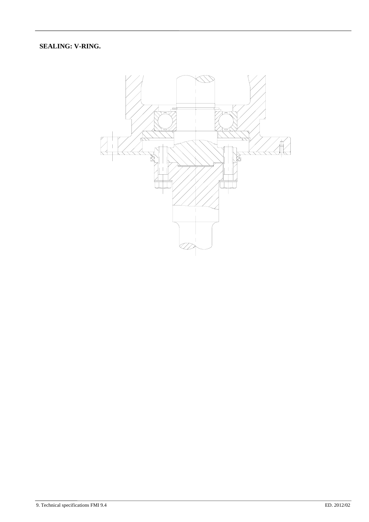**SEALING: V-RING.**